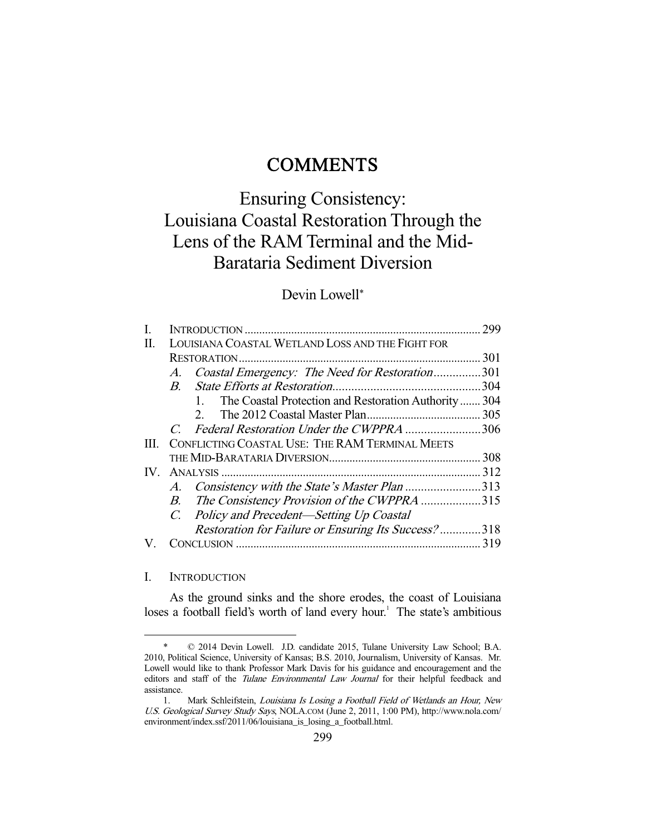# **COMMENTS**

# Ensuring Consistency: Louisiana Coastal Restoration Through the Lens of the RAM Terminal and the Mid-Barataria Sediment Diversion

# Devin Lowell\*

| L.  |                                                      | 299  |
|-----|------------------------------------------------------|------|
| Π.  | LOUISIANA COASTAL WETLAND LOSS AND THE FIGHT FOR     |      |
|     |                                                      |      |
|     | Coastal Emergency: The Need for Restoration301<br>A. |      |
|     | $\overline{B}$                                       | .304 |
|     | The Coastal Protection and Restoration Authority304  |      |
|     |                                                      |      |
|     | C. Federal Restoration Under the CWPPRA 306          |      |
| HL. | CONFLICTING COASTAL USE: THE RAM TERMINAL MEETS      |      |
|     |                                                      |      |
|     |                                                      |      |
|     | A. Consistency with the State's Master Plan 313      |      |
|     | B. The Consistency Provision of the CWPPRA 315       |      |
|     | C. Policy and Precedent—Setting Up Coastal           |      |
|     | Restoration for Failure or Ensuring Its Success?318  |      |
|     |                                                      |      |
|     |                                                      |      |

# I. INTRODUCTION

-

 As the ground sinks and the shore erodes, the coast of Louisiana loses a football field's worth of land every hour.<sup>1</sup> The state's ambitious

 <sup>\* © 2014</sup> Devin Lowell. J.D. candidate 2015, Tulane University Law School; B.A. 2010, Political Science, University of Kansas; B.S. 2010, Journalism, University of Kansas. Mr. Lowell would like to thank Professor Mark Davis for his guidance and encouragement and the editors and staff of the Tulane Environmental Law Journal for their helpful feedback and assistance.

 <sup>1.</sup> Mark Schleifstein, Louisiana Is Losing a Football Field of Wetlands an Hour, New U.S. Geological Survey Study Says, NOLA.COM (June 2, 2011, 1:00 PM), http://www.nola.com/ environment/index.ssf/2011/06/louisiana\_is\_losing\_a\_football.html.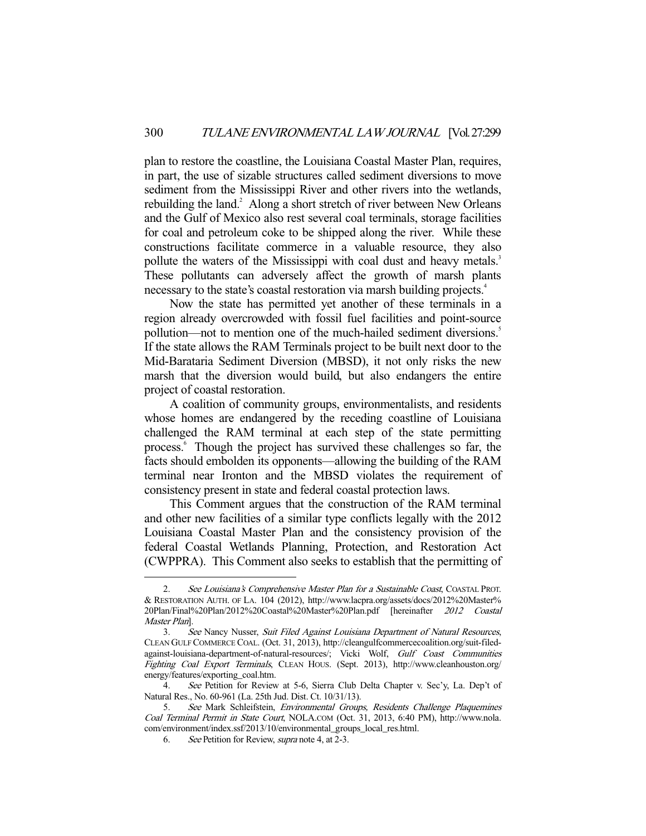plan to restore the coastline, the Louisiana Coastal Master Plan, requires, in part, the use of sizable structures called sediment diversions to move sediment from the Mississippi River and other rivers into the wetlands, rebuilding the land.<sup>2</sup> Along a short stretch of river between New Orleans and the Gulf of Mexico also rest several coal terminals, storage facilities for coal and petroleum coke to be shipped along the river. While these constructions facilitate commerce in a valuable resource, they also pollute the waters of the Mississippi with coal dust and heavy metals.<sup>3</sup> These pollutants can adversely affect the growth of marsh plants necessary to the state's coastal restoration via marsh building projects.<sup>4</sup>

 Now the state has permitted yet another of these terminals in a region already overcrowded with fossil fuel facilities and point-source pollution—not to mention one of the much-hailed sediment diversions.<sup>5</sup> If the state allows the RAM Terminals project to be built next door to the Mid-Barataria Sediment Diversion (MBSD), it not only risks the new marsh that the diversion would build, but also endangers the entire project of coastal restoration.

 A coalition of community groups, environmentalists, and residents whose homes are endangered by the receding coastline of Louisiana challenged the RAM terminal at each step of the state permitting process.<sup>6</sup> Though the project has survived these challenges so far, the facts should embolden its opponents—allowing the building of the RAM terminal near Ironton and the MBSD violates the requirement of consistency present in state and federal coastal protection laws.

 This Comment argues that the construction of the RAM terminal and other new facilities of a similar type conflicts legally with the 2012 Louisiana Coastal Master Plan and the consistency provision of the federal Coastal Wetlands Planning, Protection, and Restoration Act (CWPPRA). This Comment also seeks to establish that the permitting of

<sup>2.</sup> See Louisiana's Comprehensive Master Plan for a Sustainable Coast, COASTAL PROT. & RESTORATION AUTH. OF LA. 104 (2012), http://www.lacpra.org/assets/docs/2012%20Master% 20Plan/Final%20Plan/2012%20Coastal%20Master%20Plan.pdf [hereinafter 2012 Coastal Master Plan].

 <sup>3.</sup> See Nancy Nusser, Suit Filed Against Louisiana Department of Natural Resources, CLEAN GULF COMMERCE COAL. (Oct. 31, 2013), http://cleangulfcommercecoalition.org/suit-filedagainst-louisiana-department-of-natural-resources/; Vicki Wolf, Gulf Coast Communities Fighting Coal Export Terminals, CLEAN HOUS. (Sept. 2013), http://www.cleanhouston.org/ energy/features/exporting\_coal.htm.

 <sup>4.</sup> See Petition for Review at 5-6, Sierra Club Delta Chapter v. Sec'y, La. Dep't of Natural Res., No. 60-961 (La. 25th Jud. Dist. Ct. 10/31/13).

 <sup>5.</sup> See Mark Schleifstein, Environmental Groups, Residents Challenge Plaquemines Coal Terminal Permit in State Court, NOLA.COM (Oct. 31, 2013, 6:40 PM), http://www.nola. com/environment/index.ssf/2013/10/environmental\_groups\_local\_res.html.

 <sup>6.</sup> See Petition for Review, supra note 4, at 2-3.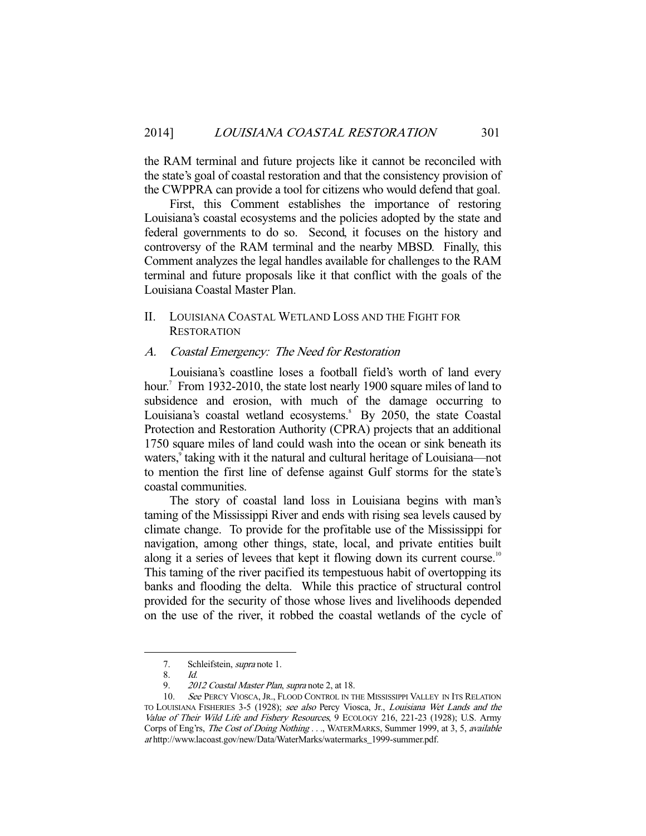the RAM terminal and future projects like it cannot be reconciled with the state's goal of coastal restoration and that the consistency provision of the CWPPRA can provide a tool for citizens who would defend that goal.

 First, this Comment establishes the importance of restoring Louisiana's coastal ecosystems and the policies adopted by the state and federal governments to do so. Second, it focuses on the history and controversy of the RAM terminal and the nearby MBSD. Finally, this Comment analyzes the legal handles available for challenges to the RAM terminal and future proposals like it that conflict with the goals of the Louisiana Coastal Master Plan.

# II. LOUISIANA COASTAL WETLAND LOSS AND THE FIGHT FOR **RESTORATION**

#### A. Coastal Emergency: The Need for Restoration

 Louisiana's coastline loses a football field's worth of land every hour.<sup>7</sup> From 1932-2010, the state lost nearly 1900 square miles of land to subsidence and erosion, with much of the damage occurring to Louisiana's coastal wetland ecosystems.<sup>8</sup> By 2050, the state Coastal Protection and Restoration Authority (CPRA) projects that an additional 1750 square miles of land could wash into the ocean or sink beneath its waters,<sup>9</sup> taking with it the natural and cultural heritage of Louisiana—not to mention the first line of defense against Gulf storms for the state's coastal communities.

 The story of coastal land loss in Louisiana begins with man's taming of the Mississippi River and ends with rising sea levels caused by climate change. To provide for the profitable use of the Mississippi for navigation, among other things, state, local, and private entities built along it a series of levees that kept it flowing down its current course.<sup>10</sup> This taming of the river pacified its tempestuous habit of overtopping its banks and flooding the delta. While this practice of structural control provided for the security of those whose lives and livelihoods depended on the use of the river, it robbed the coastal wetlands of the cycle of

 <sup>7.</sup> Schleifstein, supra note 1.

 <sup>8.</sup> Id.

<sup>9. 2012</sup> Coastal Master Plan, supra note 2, at 18.

<sup>10.</sup> See PERCY VIOSCA, JR., FLOOD CONTROL IN THE MISSISSIPPI VALLEY IN ITS RELATION TO LOUISIANA FISHERIES 3-5 (1928); see also Percy Viosca, Jr., Louisiana Wet Lands and the Value of Their Wild Life and Fishery Resources, 9 ECOLOGY 216, 221-23 (1928); U.S. Army Corps of Eng'rs, The Cost of Doing Nothing . . ., WATERMARKS, Summer 1999, at 3, 5, available at http://www.lacoast.gov/new/Data/WaterMarks/watermarks\_1999-summer.pdf.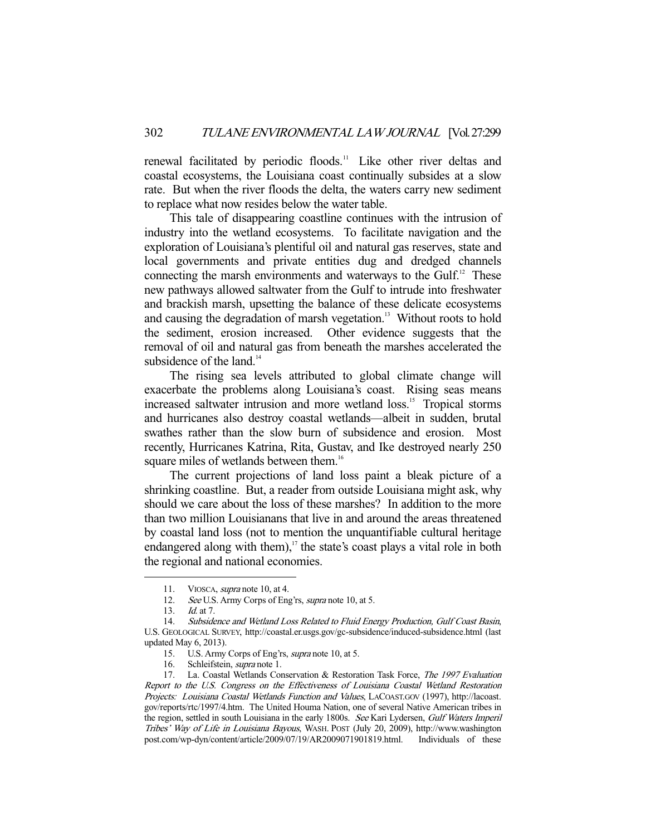renewal facilitated by periodic floods.<sup>11</sup> Like other river deltas and coastal ecosystems, the Louisiana coast continually subsides at a slow rate. But when the river floods the delta, the waters carry new sediment to replace what now resides below the water table.

 This tale of disappearing coastline continues with the intrusion of industry into the wetland ecosystems. To facilitate navigation and the exploration of Louisiana's plentiful oil and natural gas reserves, state and local governments and private entities dug and dredged channels connecting the marsh environments and waterways to the Gulf. $^{12}$  These new pathways allowed saltwater from the Gulf to intrude into freshwater and brackish marsh, upsetting the balance of these delicate ecosystems and causing the degradation of marsh vegetation.<sup>13</sup> Without roots to hold the sediment, erosion increased. Other evidence suggests that the removal of oil and natural gas from beneath the marshes accelerated the subsidence of the land.<sup>14</sup>

 The rising sea levels attributed to global climate change will exacerbate the problems along Louisiana's coast. Rising seas means increased saltwater intrusion and more wetland loss.<sup>15</sup> Tropical storms and hurricanes also destroy coastal wetlands—albeit in sudden, brutal swathes rather than the slow burn of subsidence and erosion. Most recently, Hurricanes Katrina, Rita, Gustav, and Ike destroyed nearly 250 square miles of wetlands between them.<sup>16</sup>

 The current projections of land loss paint a bleak picture of a shrinking coastline. But, a reader from outside Louisiana might ask, why should we care about the loss of these marshes? In addition to the more than two million Louisianans that live in and around the areas threatened by coastal land loss (not to mention the unquantifiable cultural heritage endangered along with them), $17$  the state's coast plays a vital role in both the regional and national economies.

<sup>11.</sup> VIOSCA, *supra* note 10, at 4.

<sup>12.</sup> See U.S. Army Corps of Eng'rs, *supra* note 10, at 5.

 <sup>13.</sup> Id. at 7.

<sup>14.</sup> Subsidence and Wetland Loss Related to Fluid Energy Production, Gulf Coast Basin, U.S. GEOLOGICAL SURVEY, http://coastal.er.usgs.gov/gc-subsidence/induced-subsidence.html (last updated May 6, 2013).

 <sup>15.</sup> U.S. Army Corps of Eng'rs, supra note 10, at 5.

 <sup>16.</sup> Schleifstein, supra note 1.

<sup>17.</sup> La. Coastal Wetlands Conservation & Restoration Task Force, The 1997 Evaluation Report to the U.S. Congress on the Effectiveness of Louisiana Coastal Wetland Restoration Projects: Louisiana Coastal Wetlands Function and Values, LACOAST.GOV (1997), http://lacoast. gov/reports/rtc/1997/4.htm. The United Houma Nation, one of several Native American tribes in the region, settled in south Louisiana in the early 1800s. See Kari Lydersen, Gulf Waters Imperil Tribes' Way of Life in Louisiana Bayous, WASH. POST (July 20, 2009), http://www.washington post.com/wp-dyn/content/article/2009/07/19/AR2009071901819.html. Individuals of these post.com/wp-dyn/content/article/2009/07/19/AR2009071901819.html.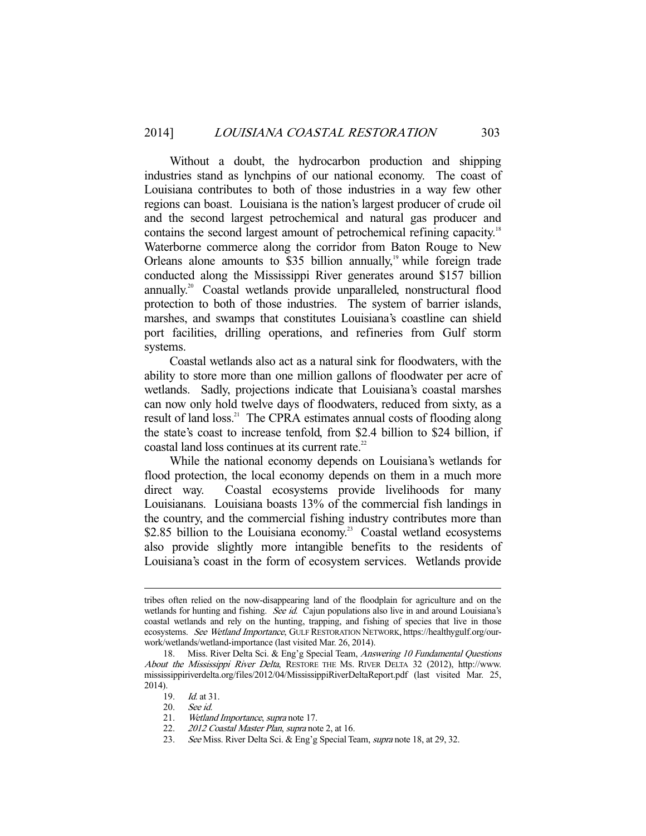Without a doubt, the hydrocarbon production and shipping industries stand as lynchpins of our national economy. The coast of Louisiana contributes to both of those industries in a way few other regions can boast. Louisiana is the nation's largest producer of crude oil and the second largest petrochemical and natural gas producer and contains the second largest amount of petrochemical refining capacity.<sup>18</sup> Waterborne commerce along the corridor from Baton Rouge to New Orleans alone amounts to \$35 billion annually, $19$  while foreign trade conducted along the Mississippi River generates around \$157 billion annually.20 Coastal wetlands provide unparalleled, nonstructural flood protection to both of those industries. The system of barrier islands, marshes, and swamps that constitutes Louisiana's coastline can shield port facilities, drilling operations, and refineries from Gulf storm systems.

 Coastal wetlands also act as a natural sink for floodwaters, with the ability to store more than one million gallons of floodwater per acre of wetlands. Sadly, projections indicate that Louisiana's coastal marshes can now only hold twelve days of floodwaters, reduced from sixty, as a result of land loss.<sup>21</sup> The CPRA estimates annual costs of flooding along the state's coast to increase tenfold, from \$2.4 billion to \$24 billion, if coastal land loss continues at its current rate.<sup>22</sup>

 While the national economy depends on Louisiana's wetlands for flood protection, the local economy depends on them in a much more direct way. Coastal ecosystems provide livelihoods for many Louisianans. Louisiana boasts 13% of the commercial fish landings in the country, and the commercial fishing industry contributes more than \$2.85 billion to the Louisiana economy.<sup>23</sup> Coastal wetland ecosystems also provide slightly more intangible benefits to the residents of Louisiana's coast in the form of ecosystem services. Wetlands provide

tribes often relied on the now-disappearing land of the floodplain for agriculture and on the wetlands for hunting and fishing. See id. Cajun populations also live in and around Louisiana's coastal wetlands and rely on the hunting, trapping, and fishing of species that live in those ecosystems. See Wetland Importance, GULF RESTORATION NETWORK, https://healthygulf.org/ourwork/wetlands/wetland-importance (last visited Mar. 26, 2014).

<sup>18.</sup> Miss. River Delta Sci. & Eng'g Special Team, Answering 10 Fundamental Questions About the Mississippi River Delta, RESTORE THE MS. RIVER DELTA 32 (2012), http://www. mississippiriverdelta.org/files/2012/04/MississippiRiverDeltaReport.pdf (last visited Mar. 25, 2014).

 <sup>19.</sup> Id. at 31.

<sup>20.</sup> See id.<br>21. Wetlan

Wetland Importance, supra note 17.

<sup>22. 2012</sup> Coastal Master Plan, supra note 2, at 16.

<sup>23.</sup> See Miss. River Delta Sci. & Eng'g Special Team, supra note 18, at 29, 32.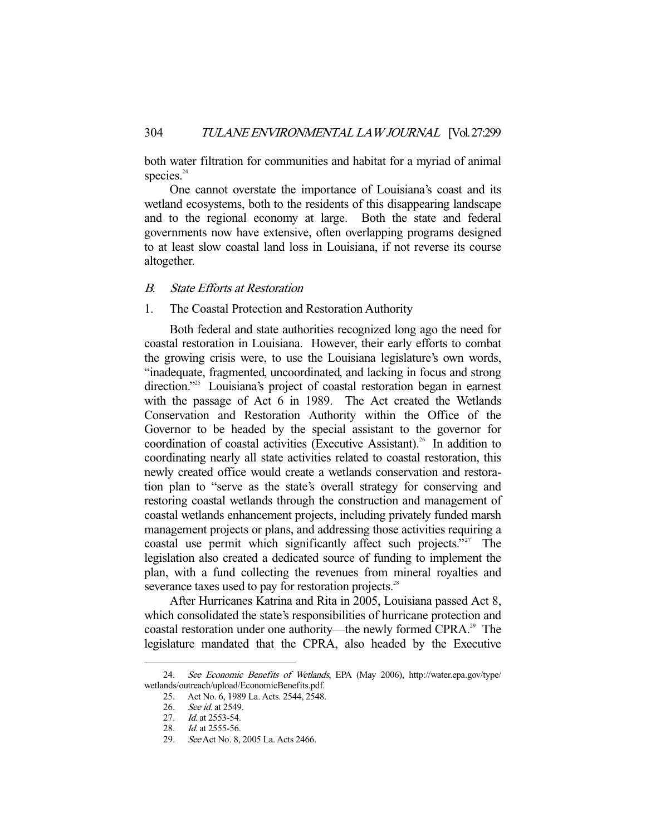both water filtration for communities and habitat for a myriad of animal species. $24$ 

 One cannot overstate the importance of Louisiana's coast and its wetland ecosystems, both to the residents of this disappearing landscape and to the regional economy at large. Both the state and federal governments now have extensive, often overlapping programs designed to at least slow coastal land loss in Louisiana, if not reverse its course altogether.

# B. State Efforts at Restoration

## 1. The Coastal Protection and Restoration Authority

 Both federal and state authorities recognized long ago the need for coastal restoration in Louisiana. However, their early efforts to combat the growing crisis were, to use the Louisiana legislature's own words, "inadequate, fragmented, uncoordinated, and lacking in focus and strong direction.<sup>"25</sup> Louisiana's project of coastal restoration began in earnest with the passage of Act 6 in 1989. The Act created the Wetlands Conservation and Restoration Authority within the Office of the Governor to be headed by the special assistant to the governor for coordination of coastal activities (Executive Assistant).<sup>26</sup> In addition to coordinating nearly all state activities related to coastal restoration, this newly created office would create a wetlands conservation and restoration plan to "serve as the state's overall strategy for conserving and restoring coastal wetlands through the construction and management of coastal wetlands enhancement projects, including privately funded marsh management projects or plans, and addressing those activities requiring a coastal use permit which significantly affect such projects."<sup>27</sup> The legislation also created a dedicated source of funding to implement the plan, with a fund collecting the revenues from mineral royalties and severance taxes used to pay for restoration projects.<sup>28</sup>

 After Hurricanes Katrina and Rita in 2005, Louisiana passed Act 8, which consolidated the state's responsibilities of hurricane protection and coastal restoration under one authority—the newly formed CPRA.<sup>29</sup> The legislature mandated that the CPRA, also headed by the Executive

<sup>24.</sup> See Economic Benefits of Wetlands, EPA (May 2006), http://water.epa.gov/type/ wetlands/outreach/upload/EconomicBenefits.pdf.

 <sup>25.</sup> Act No. 6, 1989 La. Acts. 2544, 2548.

<sup>26.</sup> See id. at 2549.

<sup>27.</sup> *Id.* at 2553-54.

<sup>28.</sup> *Id.* at 2555-56.

 <sup>29.</sup> See Act No. 8, 2005 La. Acts 2466.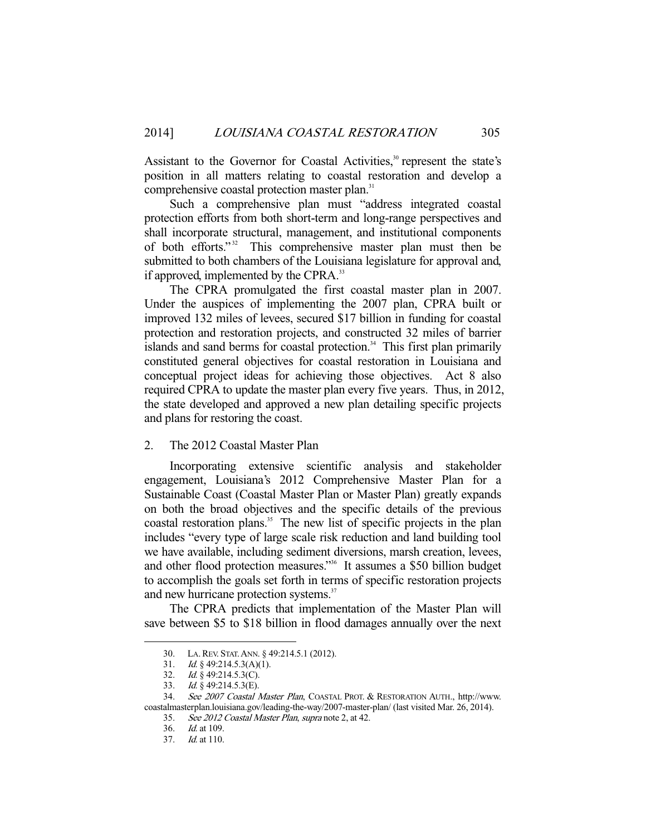Assistant to the Governor for Coastal Activities,<sup>30</sup> represent the state's position in all matters relating to coastal restoration and develop a comprehensive coastal protection master plan.<sup>31</sup>

 Such a comprehensive plan must "address integrated coastal protection efforts from both short-term and long-range perspectives and shall incorporate structural, management, and institutional components of both efforts."<sup>32</sup> This comprehensive master plan must then be submitted to both chambers of the Louisiana legislature for approval and, if approved, implemented by the CPRA.<sup>33</sup>

 The CPRA promulgated the first coastal master plan in 2007. Under the auspices of implementing the 2007 plan, CPRA built or improved 132 miles of levees, secured \$17 billion in funding for coastal protection and restoration projects, and constructed 32 miles of barrier islands and sand berms for coastal protection.<sup>34</sup> This first plan primarily constituted general objectives for coastal restoration in Louisiana and conceptual project ideas for achieving those objectives. Act 8 also required CPRA to update the master plan every five years. Thus, in 2012, the state developed and approved a new plan detailing specific projects and plans for restoring the coast.

#### 2. The 2012 Coastal Master Plan

 Incorporating extensive scientific analysis and stakeholder engagement, Louisiana's 2012 Comprehensive Master Plan for a Sustainable Coast (Coastal Master Plan or Master Plan) greatly expands on both the broad objectives and the specific details of the previous coastal restoration plans.<sup>35</sup> The new list of specific projects in the plan includes "every type of large scale risk reduction and land building tool we have available, including sediment diversions, marsh creation, levees, and other flood protection measures."<sup>36</sup> It assumes a \$50 billion budget to accomplish the goals set forth in terms of specific restoration projects and new hurricane protection systems.<sup>37</sup>

 The CPRA predicts that implementation of the Master Plan will save between \$5 to \$18 billion in flood damages annually over the next

 <sup>30.</sup> LA.REV. STAT.ANN. § 49:214.5.1 (2012).

<sup>31.</sup> Id. § 49:214.5.3(A)(1).

<sup>32.</sup> Id.  $\frac{8}{9}$  49:214.5.3(C).

 <sup>33.</sup> Id. § 49:214.5.3(E).

 <sup>34.</sup> See 2007 Coastal Master Plan, COASTAL PROT. & RESTORATION AUTH., http://www. coastalmasterplan.louisiana.gov/leading-the-way/2007-master-plan/ (last visited Mar. 26, 2014).

 <sup>35.</sup> See 2012 Coastal Master Plan, supra note 2, at 42.

 <sup>36.</sup> Id. at 109.

 <sup>37.</sup> Id. at 110.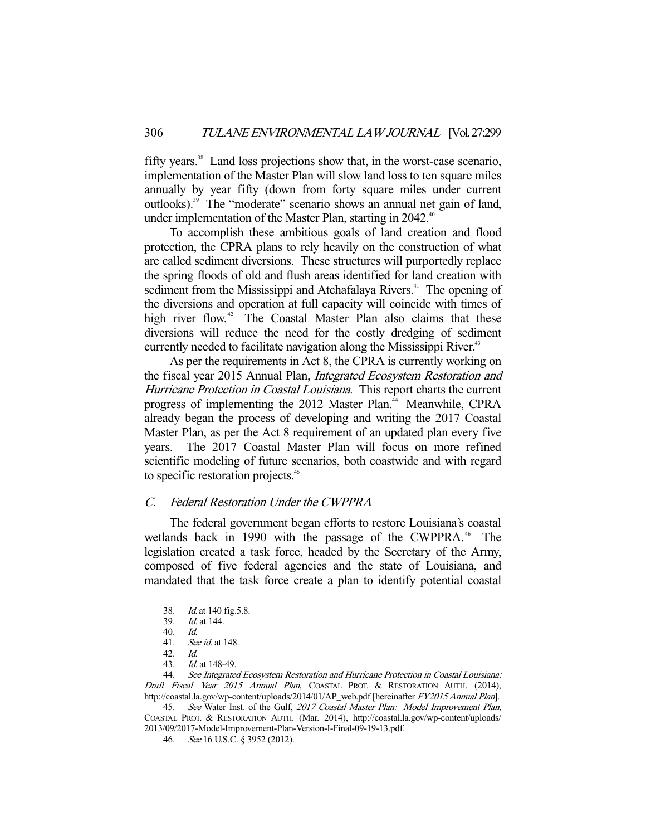fifty years.<sup>38</sup> Land loss projections show that, in the worst-case scenario, implementation of the Master Plan will slow land loss to ten square miles annually by year fifty (down from forty square miles under current outlooks).39 The "moderate" scenario shows an annual net gain of land, under implementation of the Master Plan, starting in  $2042<sup>40</sup>$ 

 To accomplish these ambitious goals of land creation and flood protection, the CPRA plans to rely heavily on the construction of what are called sediment diversions. These structures will purportedly replace the spring floods of old and flush areas identified for land creation with sediment from the Mississippi and Atchafalaya Rivers.<sup>41</sup> The opening of the diversions and operation at full capacity will coincide with times of high river flow.<sup>42</sup> The Coastal Master Plan also claims that these diversions will reduce the need for the costly dredging of sediment currently needed to facilitate navigation along the Mississippi River.<sup>43</sup>

 As per the requirements in Act 8, the CPRA is currently working on the fiscal year 2015 Annual Plan, Integrated Ecosystem Restoration and Hurricane Protection in Coastal Louisiana. This report charts the current progress of implementing the 2012 Master Plan. $^{44}$  Meanwhile, CPRA already began the process of developing and writing the 2017 Coastal Master Plan, as per the Act 8 requirement of an updated plan every five years. The 2017 Coastal Master Plan will focus on more refined scientific modeling of future scenarios, both coastwide and with regard to specific restoration projects.<sup>45</sup>

# C. Federal Restoration Under the CWPPRA

 The federal government began efforts to restore Louisiana's coastal wetlands back in 1990 with the passage of the CWPPRA.<sup>46</sup> The legislation created a task force, headed by the Secretary of the Army, composed of five federal agencies and the state of Louisiana, and mandated that the task force create a plan to identify potential coastal

-

 44. See Integrated Ecosystem Restoration and Hurricane Protection in Coastal Louisiana: Draft Fiscal Year 2015 Annual Plan, COASTAL PROT. & RESTORATION AUTH. (2014), http://coastal.la.gov/wp-content/uploads/2014/01/AP\_web.pdf [hereinafter FY2015 Annual Plan].

45. See Water Inst. of the Gulf, 2017 Coastal Master Plan: Model Improvement Plan, COASTAL PROT. & RESTORATION AUTH. (Mar. 2014), http://coastal.la.gov/wp-content/uploads/ 2013/09/2017-Model-Improvement-Plan-Version-I-Final-09-19-13.pdf.

<sup>38.</sup> *Id.* at 140 fig. 5.8.

 <sup>39.</sup> Id. at 144.

 <sup>40.</sup> Id.

 <sup>41.</sup> See id. at 148.

 <sup>42.</sup> Id.

 <sup>43.</sup> Id. at 148-49.

 <sup>46.</sup> See 16 U.S.C. § 3952 (2012).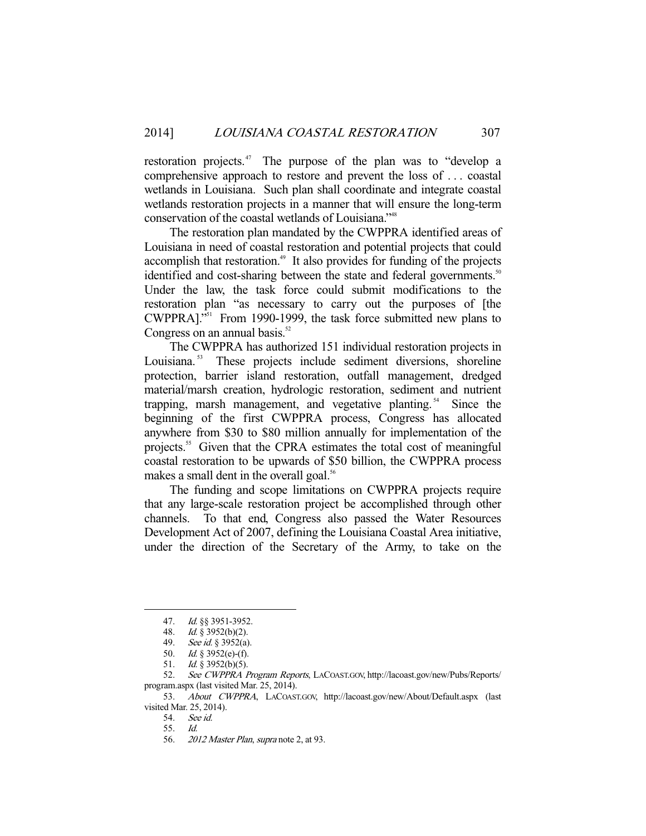restoration projects. $47$  The purpose of the plan was to "develop a comprehensive approach to restore and prevent the loss of . . . coastal wetlands in Louisiana. Such plan shall coordinate and integrate coastal wetlands restoration projects in a manner that will ensure the long-term conservation of the coastal wetlands of Louisiana."48

 The restoration plan mandated by the CWPPRA identified areas of Louisiana in need of coastal restoration and potential projects that could accomplish that restoration.<sup>49</sup> It also provides for funding of the projects identified and cost-sharing between the state and federal governments.<sup>50</sup> Under the law, the task force could submit modifications to the restoration plan "as necessary to carry out the purposes of [the CWPPRA]."51 From 1990-1999, the task force submitted new plans to Congress on an annual basis. $52$ 

 The CWPPRA has authorized 151 individual restoration projects in Louisiana.<sup>53</sup> These projects include sediment diversions, shoreline protection, barrier island restoration, outfall management, dredged material/marsh creation, hydrologic restoration, sediment and nutrient trapping, marsh management, and vegetative planting.<sup>54</sup> Since the beginning of the first CWPPRA process, Congress has allocated anywhere from \$30 to \$80 million annually for implementation of the projects.<sup>55</sup> Given that the CPRA estimates the total cost of meaningful coastal restoration to be upwards of \$50 billion, the CWPPRA process makes a small dent in the overall goal.<sup>56</sup>

 The funding and scope limitations on CWPPRA projects require that any large-scale restoration project be accomplished through other channels. To that end, Congress also passed the Water Resources Development Act of 2007, defining the Louisiana Coastal Area initiative, under the direction of the Secretary of the Army, to take on the

 <sup>47.</sup> Id. §§ 3951-3952.

 <sup>48.</sup> Id. § 3952(b)(2).

 <sup>49.</sup> See id. § 3952(a).

 <sup>50.</sup> Id. § 3952(e)-(f).

 <sup>51.</sup> Id. § 3952(b)(5).

 <sup>52.</sup> See CWPPRA Program Reports, LACOAST.GOV, http://lacoast.gov/new/Pubs/Reports/ program.aspx (last visited Mar. 25, 2014).

 <sup>53.</sup> About CWPPRA, LACOAST.GOV, http://lacoast.gov/new/About/Default.aspx (last visited Mar. 25, 2014).

 <sup>54.</sup> See id.

 <sup>55.</sup> Id.

 <sup>56.</sup> 2012 Master Plan, supra note 2, at 93.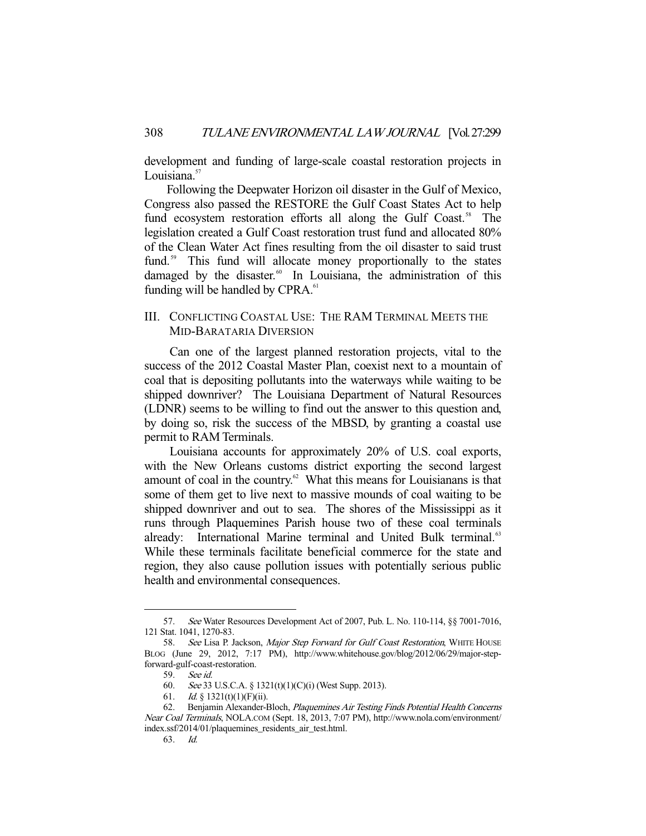development and funding of large-scale coastal restoration projects in Louisiana.<sup>57</sup>

 Following the Deepwater Horizon oil disaster in the Gulf of Mexico, Congress also passed the RESTORE the Gulf Coast States Act to help fund ecosystem restoration efforts all along the Gulf Coast.<sup>58</sup> The legislation created a Gulf Coast restoration trust fund and allocated 80% of the Clean Water Act fines resulting from the oil disaster to said trust fund.<sup>59</sup> This fund will allocate money proportionally to the states damaged by the disaster. $60$  In Louisiana, the administration of this funding will be handled by CPRA.<sup>61</sup>

# III. CONFLICTING COASTAL USE: THE RAM TERMINAL MEETS THE MID-BARATARIA DIVERSION

 Can one of the largest planned restoration projects, vital to the success of the 2012 Coastal Master Plan, coexist next to a mountain of coal that is depositing pollutants into the waterways while waiting to be shipped downriver? The Louisiana Department of Natural Resources (LDNR) seems to be willing to find out the answer to this question and, by doing so, risk the success of the MBSD, by granting a coastal use permit to RAM Terminals.

 Louisiana accounts for approximately 20% of U.S. coal exports, with the New Orleans customs district exporting the second largest amount of coal in the country. $62$  What this means for Louisianans is that some of them get to live next to massive mounds of coal waiting to be shipped downriver and out to sea. The shores of the Mississippi as it runs through Plaquemines Parish house two of these coal terminals already: International Marine terminal and United Bulk terminal.<sup>63</sup> While these terminals facilitate beneficial commerce for the state and region, they also cause pollution issues with potentially serious public health and environmental consequences.

 <sup>57.</sup> See Water Resources Development Act of 2007, Pub. L. No. 110-114, §§ 7001-7016, 121 Stat. 1041, 1270-83.

<sup>58.</sup> See Lisa P. Jackson, Major Step Forward for Gulf Coast Restoration, WHITE HOUSE BLOG (June 29, 2012, 7:17 PM), http://www.whitehouse.gov/blog/2012/06/29/major-stepforward-gulf-coast-restoration.

 <sup>59.</sup> See id.

 <sup>60.</sup> See 33 U.S.C.A. § 1321(t)(1)(C)(i) (West Supp. 2013).

<sup>61.</sup> *Id.* § 1321(t)(1)(F)(ii).

 <sup>62.</sup> Benjamin Alexander-Bloch, Plaquemines Air Testing Finds Potential Health Concerns Near Coal Terminals, NOLA.COM (Sept. 18, 2013, 7:07 PM), http://www.nola.com/environment/ index.ssf/2014/01/plaquemines\_residents\_air\_test.html.

 <sup>63.</sup> Id.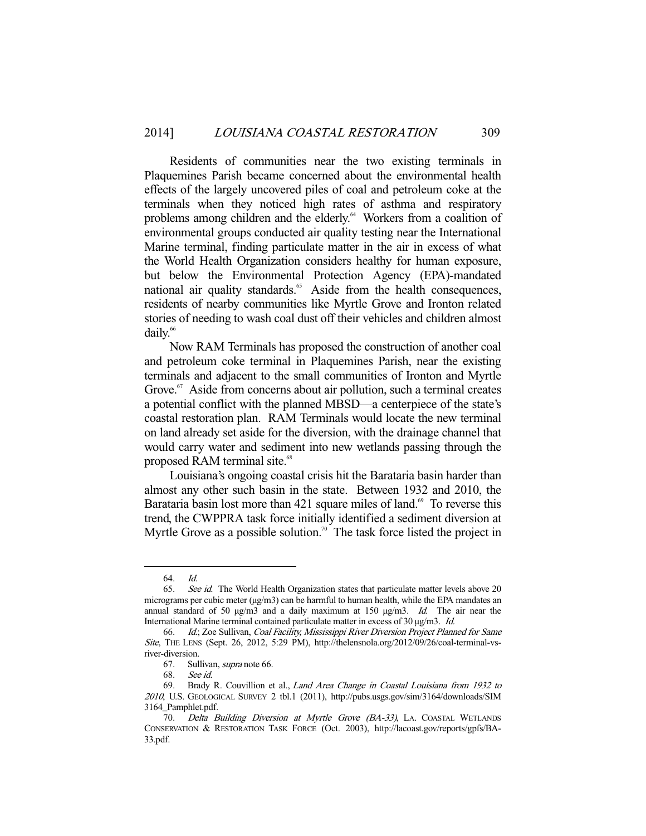Residents of communities near the two existing terminals in Plaquemines Parish became concerned about the environmental health effects of the largely uncovered piles of coal and petroleum coke at the terminals when they noticed high rates of asthma and respiratory problems among children and the elderly.<sup>64</sup> Workers from a coalition of environmental groups conducted air quality testing near the International Marine terminal, finding particulate matter in the air in excess of what the World Health Organization considers healthy for human exposure, but below the Environmental Protection Agency (EPA)-mandated national air quality standards.<sup>65</sup> Aside from the health consequences, residents of nearby communities like Myrtle Grove and Ironton related stories of needing to wash coal dust off their vehicles and children almost daily.<sup>66</sup>

 Now RAM Terminals has proposed the construction of another coal and petroleum coke terminal in Plaquemines Parish, near the existing terminals and adjacent to the small communities of Ironton and Myrtle Grove.<sup>67</sup> Aside from concerns about air pollution, such a terminal creates a potential conflict with the planned MBSD—a centerpiece of the state's coastal restoration plan. RAM Terminals would locate the new terminal on land already set aside for the diversion, with the drainage channel that would carry water and sediment into new wetlands passing through the proposed RAM terminal site.<sup>68</sup>

 Louisiana's ongoing coastal crisis hit the Barataria basin harder than almost any other such basin in the state. Between 1932 and 2010, the Barataria basin lost more than 421 square miles of land.<sup>69</sup> To reverse this trend, the CWPPRA task force initially identified a sediment diversion at Myrtle Grove as a possible solution.<sup>70</sup> The task force listed the project in

 <sup>64.</sup> Id.

<sup>65.</sup> See id. The World Health Organization states that particulate matter levels above 20 micrograms per cubic meter (µg/m3) can be harmful to human health, while the EPA mandates an annual standard of 50  $\mu$ g/m3 and a daily maximum at 150  $\mu$ g/m3. Id. The air near the International Marine terminal contained particulate matter in excess of 30 µg/m3. Id.

 <sup>66.</sup> Id.; Zoe Sullivan, Coal Facility, Mississippi River Diversion Project Planned for Same Site, THE LENS (Sept. 26, 2012, 5:29 PM), http://thelensnola.org/2012/09/26/coal-terminal-vsriver-diversion.

<sup>67.</sup> Sullivan, *supra* note 66.

 <sup>68.</sup> See id.

 <sup>69.</sup> Brady R. Couvillion et al., Land Area Change in Coastal Louisiana from 1932 to <sup>2010</sup>, U.S. GEOLOGICAL SURVEY 2 tbl.1 (2011), http://pubs.usgs.gov/sim/3164/downloads/SIM 3164\_Pamphlet.pdf.

 <sup>70.</sup> Delta Building Diversion at Myrtle Grove (BA-33), LA. COASTAL WETLANDS CONSERVATION & RESTORATION TASK FORCE (Oct. 2003), http://lacoast.gov/reports/gpfs/BA-33.pdf.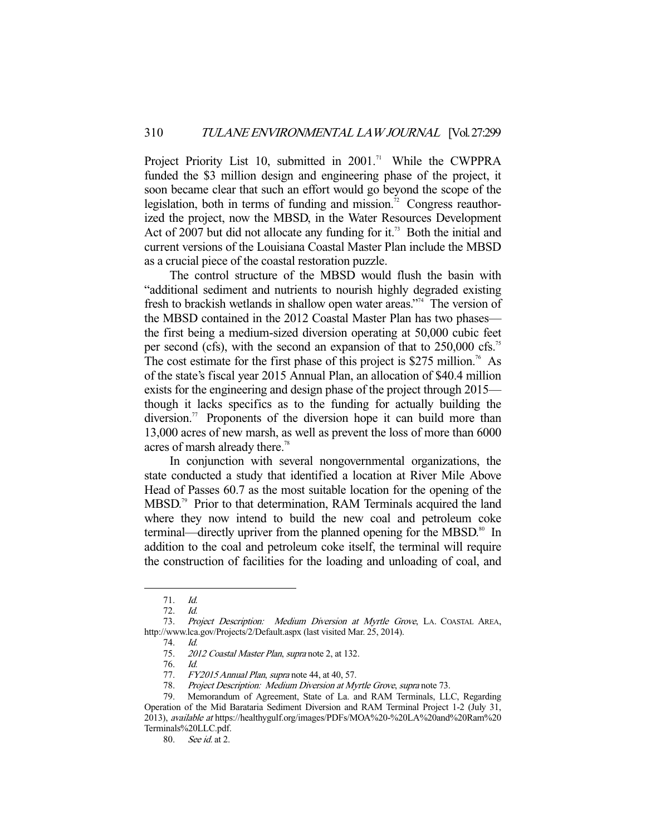Project Priority List 10, submitted in 2001.<sup>71</sup> While the CWPPRA funded the \$3 million design and engineering phase of the project, it soon became clear that such an effort would go beyond the scope of the legislation, both in terms of funding and mission.<sup>72</sup> Congress reauthorized the project, now the MBSD, in the Water Resources Development Act of 2007 but did not allocate any funding for it.<sup>73</sup> Both the initial and current versions of the Louisiana Coastal Master Plan include the MBSD as a crucial piece of the coastal restoration puzzle.

 The control structure of the MBSD would flush the basin with "additional sediment and nutrients to nourish highly degraded existing fresh to brackish wetlands in shallow open water areas."74 The version of the MBSD contained in the 2012 Coastal Master Plan has two phases the first being a medium-sized diversion operating at 50,000 cubic feet per second (cfs), with the second an expansion of that to 250,000 cfs.<sup>75</sup> The cost estimate for the first phase of this project is \$275 million.<sup>76</sup> As of the state's fiscal year 2015 Annual Plan, an allocation of \$40.4 million exists for the engineering and design phase of the project through 2015 though it lacks specifics as to the funding for actually building the diversion.<sup>77</sup> Proponents of the diversion hope it can build more than 13,000 acres of new marsh, as well as prevent the loss of more than 6000 acres of marsh already there.<sup>78</sup>

 In conjunction with several nongovernmental organizations, the state conducted a study that identified a location at River Mile Above Head of Passes 60.7 as the most suitable location for the opening of the MBSD.<sup>79</sup> Prior to that determination, RAM Terminals acquired the land where they now intend to build the new coal and petroleum coke terminal—directly upriver from the planned opening for the MBSD.<sup>80</sup> In addition to the coal and petroleum coke itself, the terminal will require the construction of facilities for the loading and unloading of coal, and

 <sup>71.</sup> Id.

 <sup>72.</sup> Id.

<sup>73.</sup> Project Description: Medium Diversion at Myrtle Grove, LA. COASTAL AREA, http://www.lca.gov/Projects/2/Default.aspx (last visited Mar. 25, 2014).

 <sup>74.</sup> Id.

 <sup>75.</sup> 2012 Coastal Master Plan, supra note 2, at 132.

 <sup>76.</sup> Id.

<sup>77.</sup> FY2015 Annual Plan, supra note 44, at 40, 57.

 <sup>78.</sup> Project Description: Medium Diversion at Myrtle Grove, supra note 73.

 <sup>79.</sup> Memorandum of Agreement, State of La. and RAM Terminals, LLC, Regarding Operation of the Mid Barataria Sediment Diversion and RAM Terminal Project 1-2 (July 31, 2013), available at https://healthygulf.org/images/PDFs/MOA%20-%20LA%20and%20Ram%20 Terminals%20LLC.pdf.

 <sup>80.</sup> See id. at 2.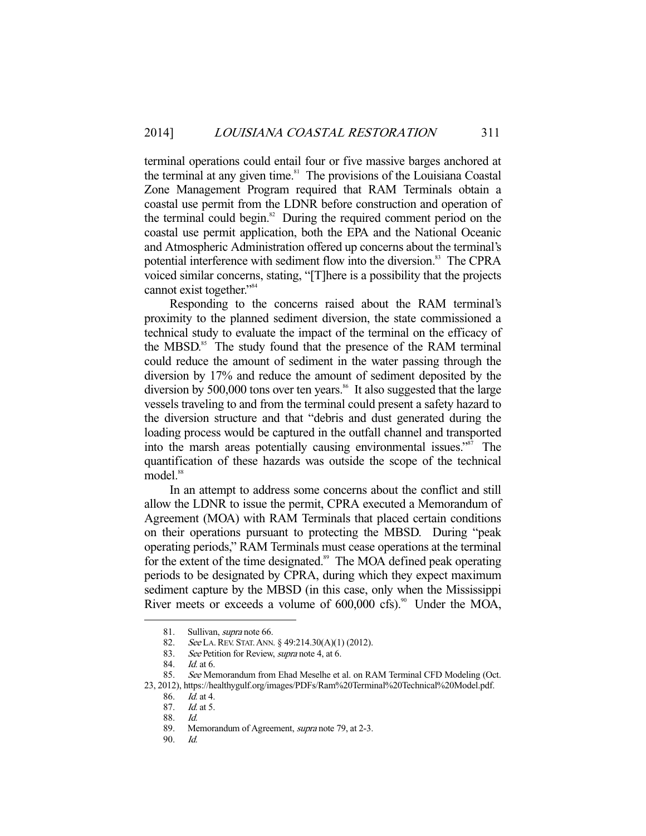terminal operations could entail four or five massive barges anchored at the terminal at any given time. $81$  The provisions of the Louisiana Coastal Zone Management Program required that RAM Terminals obtain a coastal use permit from the LDNR before construction and operation of the terminal could begin. $82$  During the required comment period on the coastal use permit application, both the EPA and the National Oceanic and Atmospheric Administration offered up concerns about the terminal's potential interference with sediment flow into the diversion.<sup>83</sup> The CPRA voiced similar concerns, stating, "[T]here is a possibility that the projects cannot exist together."<sup>84</sup>

 Responding to the concerns raised about the RAM terminal's proximity to the planned sediment diversion, the state commissioned a technical study to evaluate the impact of the terminal on the efficacy of the MBSD.<sup>85</sup> The study found that the presence of the RAM terminal could reduce the amount of sediment in the water passing through the diversion by 17% and reduce the amount of sediment deposited by the diversion by 500,000 tons over ten years.<sup>86</sup> It also suggested that the large vessels traveling to and from the terminal could present a safety hazard to the diversion structure and that "debris and dust generated during the loading process would be captured in the outfall channel and transported into the marsh areas potentially causing environmental issues."87 The quantification of these hazards was outside the scope of the technical model.<sup>88</sup>

 In an attempt to address some concerns about the conflict and still allow the LDNR to issue the permit, CPRA executed a Memorandum of Agreement (MOA) with RAM Terminals that placed certain conditions on their operations pursuant to protecting the MBSD. During "peak operating periods," RAM Terminals must cease operations at the terminal for the extent of the time designated.<sup>89</sup> The MOA defined peak operating periods to be designated by CPRA, during which they expect maximum sediment capture by the MBSD (in this case, only when the Mississippi River meets or exceeds a volume of  $600,000$  cfs).<sup>90</sup> Under the MOA,

-

90. Id.

<sup>81.</sup> Sullivan, *supra* note 66.

 <sup>82.</sup> See LA.REV. STAT.ANN. § 49:214.30(A)(1) (2012).

<sup>83.</sup> See Petition for Review, *supra* note 4, at 6.<br>84. Id. at 6.

Id. at  $6.$ 

<sup>85.</sup> See Memorandum from Ehad Meselhe et al. on RAM Terminal CFD Modeling (Oct. 23, 2012), https://healthygulf.org/images/PDFs/Ram%20Terminal%20Technical%20Model.pdf.

 <sup>86.</sup> Id. at 4.

 <sup>87.</sup> Id. at 5.

 <sup>88.</sup> Id.

<sup>89.</sup> Memorandum of Agreement, *supra* note 79, at 2-3.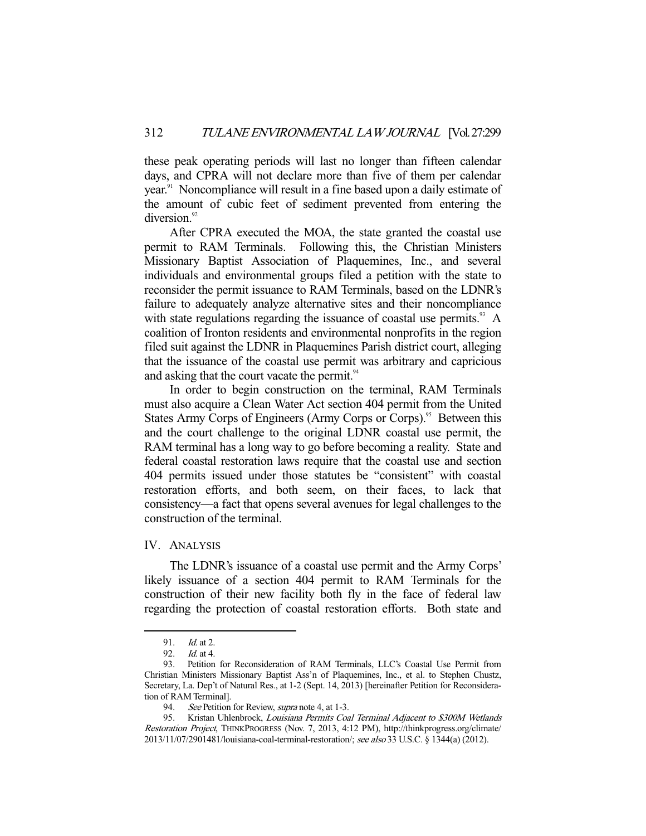these peak operating periods will last no longer than fifteen calendar days, and CPRA will not declare more than five of them per calendar year.<sup>91</sup> Noncompliance will result in a fine based upon a daily estimate of the amount of cubic feet of sediment prevented from entering the diversion.<sup>92</sup>

 After CPRA executed the MOA, the state granted the coastal use permit to RAM Terminals. Following this, the Christian Ministers Missionary Baptist Association of Plaquemines, Inc., and several individuals and environmental groups filed a petition with the state to reconsider the permit issuance to RAM Terminals, based on the LDNR's failure to adequately analyze alternative sites and their noncompliance with state regulations regarding the issuance of coastal use permits. $93 \text{ A}$ coalition of Ironton residents and environmental nonprofits in the region filed suit against the LDNR in Plaquemines Parish district court, alleging that the issuance of the coastal use permit was arbitrary and capricious and asking that the court vacate the permit.<sup>94</sup>

 In order to begin construction on the terminal, RAM Terminals must also acquire a Clean Water Act section 404 permit from the United States Army Corps of Engineers (Army Corps or Corps).<sup>95</sup> Between this and the court challenge to the original LDNR coastal use permit, the RAM terminal has a long way to go before becoming a reality. State and federal coastal restoration laws require that the coastal use and section 404 permits issued under those statutes be "consistent" with coastal restoration efforts, and both seem, on their faces, to lack that consistency—a fact that opens several avenues for legal challenges to the construction of the terminal.

# IV. ANALYSIS

 The LDNR's issuance of a coastal use permit and the Army Corps' likely issuance of a section 404 permit to RAM Terminals for the construction of their new facility both fly in the face of federal law regarding the protection of coastal restoration efforts. Both state and

 <sup>91.</sup> Id. at 2.

 <sup>92.</sup> Id. at 4.

 <sup>93.</sup> Petition for Reconsideration of RAM Terminals, LLC's Coastal Use Permit from Christian Ministers Missionary Baptist Ass'n of Plaquemines, Inc., et al. to Stephen Chustz, Secretary, La. Dep't of Natural Res., at 1-2 (Sept. 14, 2013) [hereinafter Petition for Reconsideration of RAM Terminal].

<sup>94.</sup> See Petition for Review, *supra* note 4, at 1-3.

<sup>95.</sup> Kristan Uhlenbrock, Louisiana Permits Coal Terminal Adjacent to \$300M Wetlands Restoration Project, THINKPROGRESS (Nov. 7, 2013, 4:12 PM), http://thinkprogress.org/climate/ 2013/11/07/2901481/louisiana-coal-terminal-restoration/; see also 33 U.S.C. § 1344(a) (2012).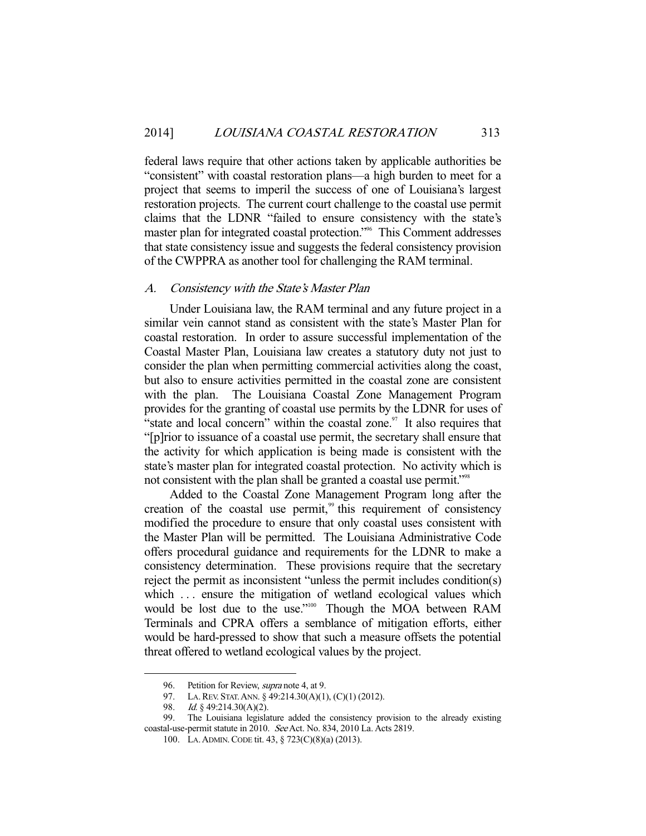federal laws require that other actions taken by applicable authorities be "consistent" with coastal restoration plans—a high burden to meet for a project that seems to imperil the success of one of Louisiana's largest restoration projects. The current court challenge to the coastal use permit claims that the LDNR "failed to ensure consistency with the state's master plan for integrated coastal protection."96 This Comment addresses that state consistency issue and suggests the federal consistency provision of the CWPPRA as another tool for challenging the RAM terminal.

# A. Consistency with the State's Master Plan

 Under Louisiana law, the RAM terminal and any future project in a similar vein cannot stand as consistent with the state's Master Plan for coastal restoration. In order to assure successful implementation of the Coastal Master Plan, Louisiana law creates a statutory duty not just to consider the plan when permitting commercial activities along the coast, but also to ensure activities permitted in the coastal zone are consistent with the plan. The Louisiana Coastal Zone Management Program provides for the granting of coastal use permits by the LDNR for uses of "state and local concern" within the coastal zone. $\frac{97}{11}$  It also requires that "[p]rior to issuance of a coastal use permit, the secretary shall ensure that the activity for which application is being made is consistent with the state's master plan for integrated coastal protection. No activity which is not consistent with the plan shall be granted a coastal use permit."<sup>98</sup>

 Added to the Coastal Zone Management Program long after the creation of the coastal use permit,<sup>99</sup> this requirement of consistency modified the procedure to ensure that only coastal uses consistent with the Master Plan will be permitted. The Louisiana Administrative Code offers procedural guidance and requirements for the LDNR to make a consistency determination. These provisions require that the secretary reject the permit as inconsistent "unless the permit includes condition(s) which ... ensure the mitigation of wetland ecological values which would be lost due to the use."<sup>100</sup> Though the MOA between RAM Terminals and CPRA offers a semblance of mitigation efforts, either would be hard-pressed to show that such a measure offsets the potential threat offered to wetland ecological values by the project.

<sup>96.</sup> Petition for Review, *supra* note 4, at 9.

 <sup>97.</sup> LA.REV. STAT.ANN. § 49:214.30(A)(1), (C)(1) (2012).

<sup>98.</sup> *Id.* § 49:214.30(A)(2).

 <sup>99.</sup> The Louisiana legislature added the consistency provision to the already existing coastal-use-permit statute in 2010. See Act. No. 834, 2010 La. Acts 2819.

 <sup>100.</sup> LA.ADMIN.CODE tit. 43, § 723(C)(8)(a) (2013).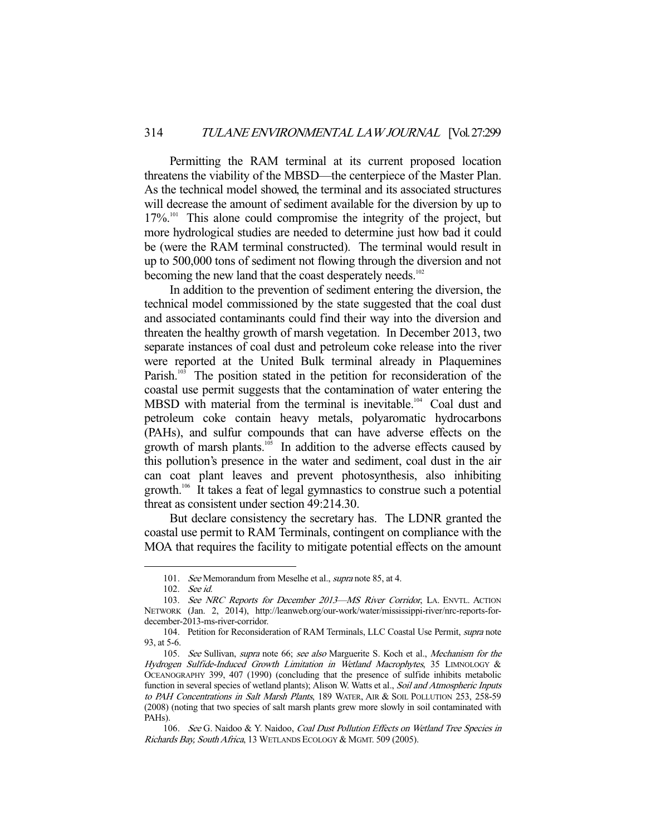Permitting the RAM terminal at its current proposed location threatens the viability of the MBSD—the centerpiece of the Master Plan. As the technical model showed, the terminal and its associated structures will decrease the amount of sediment available for the diversion by up to 17%.<sup>101</sup> This alone could compromise the integrity of the project, but more hydrological studies are needed to determine just how bad it could be (were the RAM terminal constructed). The terminal would result in up to 500,000 tons of sediment not flowing through the diversion and not becoming the new land that the coast desperately needs.<sup>102</sup>

 In addition to the prevention of sediment entering the diversion, the technical model commissioned by the state suggested that the coal dust and associated contaminants could find their way into the diversion and threaten the healthy growth of marsh vegetation. In December 2013, two separate instances of coal dust and petroleum coke release into the river were reported at the United Bulk terminal already in Plaquemines Parish.<sup>103</sup> The position stated in the petition for reconsideration of the coastal use permit suggests that the contamination of water entering the MBSD with material from the terminal is inevitable.<sup>104</sup> Coal dust and petroleum coke contain heavy metals, polyaromatic hydrocarbons (PAHs), and sulfur compounds that can have adverse effects on the growth of marsh plants. $105$  In addition to the adverse effects caused by this pollution's presence in the water and sediment, coal dust in the air can coat plant leaves and prevent photosynthesis, also inhibiting growth.<sup>106</sup> It takes a feat of legal gymnastics to construe such a potential threat as consistent under section 49:214.30.

 But declare consistency the secretary has. The LDNR granted the coastal use permit to RAM Terminals, contingent on compliance with the MOA that requires the facility to mitigate potential effects on the amount

<sup>101.</sup> See Memorandum from Meselhe et al., supra note 85, at 4.

 <sup>102.</sup> See id.

<sup>103.</sup> See NRC Reports for December 2013-MS River Corridor, LA. ENVTL. ACTION NETWORK (Jan. 2, 2014), http://leanweb.org/our-work/water/mississippi-river/nrc-reports-fordecember-2013-ms-river-corridor.

<sup>104.</sup> Petition for Reconsideration of RAM Terminals, LLC Coastal Use Permit, supra note 93, at 5-6.

<sup>105.</sup> See Sullivan, supra note 66; see also Marguerite S. Koch et al., Mechanism for the Hydrogen Sulfide-Induced Growth Limitation in Wetland Macrophytes, 35 LIMNOLOGY & OCEANOGRAPHY 399, 407 (1990) (concluding that the presence of sulfide inhibits metabolic function in several species of wetland plants); Alison W. Watts et al., Soil and Atmospheric Inputs to PAH Concentrations in Salt Marsh Plants, 189 WATER, AIR & SOIL POLLUTION 253, 258-59 (2008) (noting that two species of salt marsh plants grew more slowly in soil contaminated with PAHs).

<sup>106.</sup> See G. Naidoo & Y. Naidoo, Coal Dust Pollution Effects on Wetland Tree Species in Richards Bay, South Africa, 13 WETLANDS ECOLOGY & MGMT. 509 (2005).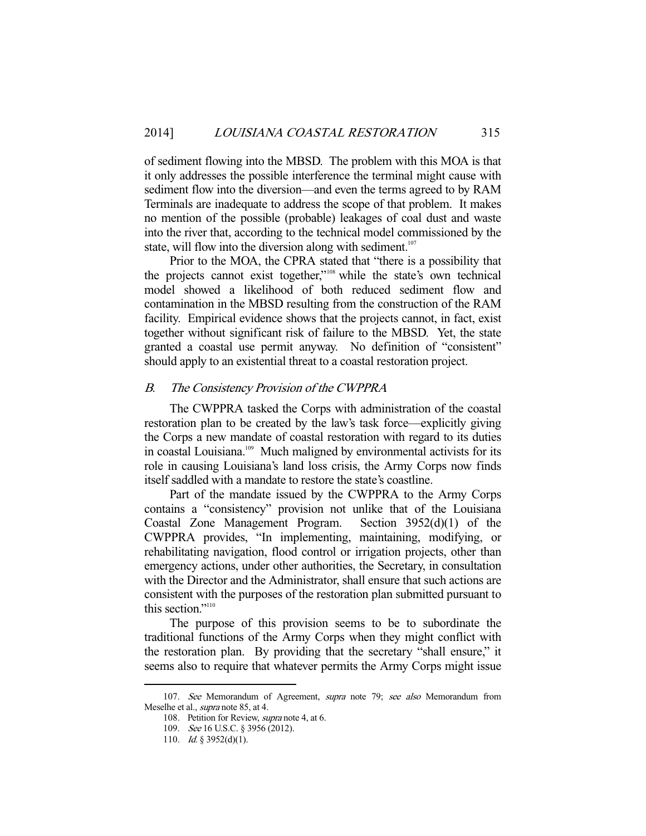of sediment flowing into the MBSD. The problem with this MOA is that it only addresses the possible interference the terminal might cause with sediment flow into the diversion—and even the terms agreed to by RAM Terminals are inadequate to address the scope of that problem. It makes no mention of the possible (probable) leakages of coal dust and waste into the river that, according to the technical model commissioned by the state, will flow into the diversion along with sediment.<sup>107</sup>

 Prior to the MOA, the CPRA stated that "there is a possibility that the projects cannot exist together,"108 while the state's own technical model showed a likelihood of both reduced sediment flow and contamination in the MBSD resulting from the construction of the RAM facility. Empirical evidence shows that the projects cannot, in fact, exist together without significant risk of failure to the MBSD. Yet, the state granted a coastal use permit anyway. No definition of "consistent" should apply to an existential threat to a coastal restoration project.

# B. The Consistency Provision of the CWPPRA

 The CWPPRA tasked the Corps with administration of the coastal restoration plan to be created by the law's task force—explicitly giving the Corps a new mandate of coastal restoration with regard to its duties in coastal Louisiana.<sup>109</sup> Much maligned by environmental activists for its role in causing Louisiana's land loss crisis, the Army Corps now finds itself saddled with a mandate to restore the state's coastline.

 Part of the mandate issued by the CWPPRA to the Army Corps contains a "consistency" provision not unlike that of the Louisiana Coastal Zone Management Program. Section 3952(d)(1) of the CWPPRA provides, "In implementing, maintaining, modifying, or rehabilitating navigation, flood control or irrigation projects, other than emergency actions, under other authorities, the Secretary, in consultation with the Director and the Administrator, shall ensure that such actions are consistent with the purposes of the restoration plan submitted pursuant to this section."<sup>110</sup>

 The purpose of this provision seems to be to subordinate the traditional functions of the Army Corps when they might conflict with the restoration plan. By providing that the secretary "shall ensure," it seems also to require that whatever permits the Army Corps might issue

<sup>107.</sup> See Memorandum of Agreement, supra note 79; see also Memorandum from Meselhe et al., supra note 85, at 4.

<sup>108.</sup> Petition for Review, *supra* note 4, at 6.

<sup>109.</sup> See 16 U.S.C. § 3956 (2012).

<sup>110.</sup> *Id.* § 3952(d)(1).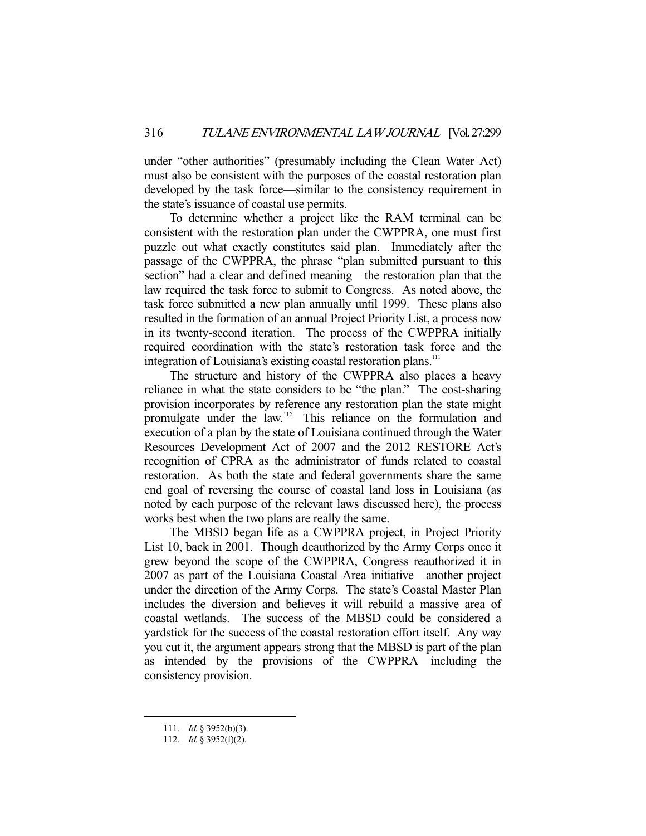under "other authorities" (presumably including the Clean Water Act) must also be consistent with the purposes of the coastal restoration plan developed by the task force—similar to the consistency requirement in the state's issuance of coastal use permits.

 To determine whether a project like the RAM terminal can be consistent with the restoration plan under the CWPPRA, one must first puzzle out what exactly constitutes said plan. Immediately after the passage of the CWPPRA, the phrase "plan submitted pursuant to this section" had a clear and defined meaning—the restoration plan that the law required the task force to submit to Congress. As noted above, the task force submitted a new plan annually until 1999. These plans also resulted in the formation of an annual Project Priority List, a process now in its twenty-second iteration. The process of the CWPPRA initially required coordination with the state's restoration task force and the integration of Louisiana's existing coastal restoration plans.<sup>111</sup>

 The structure and history of the CWPPRA also places a heavy reliance in what the state considers to be "the plan." The cost-sharing provision incorporates by reference any restoration plan the state might promulgate under the law.112 This reliance on the formulation and execution of a plan by the state of Louisiana continued through the Water Resources Development Act of 2007 and the 2012 RESTORE Act's recognition of CPRA as the administrator of funds related to coastal restoration. As both the state and federal governments share the same end goal of reversing the course of coastal land loss in Louisiana (as noted by each purpose of the relevant laws discussed here), the process works best when the two plans are really the same.

 The MBSD began life as a CWPPRA project, in Project Priority List 10, back in 2001. Though deauthorized by the Army Corps once it grew beyond the scope of the CWPPRA, Congress reauthorized it in 2007 as part of the Louisiana Coastal Area initiative—another project under the direction of the Army Corps. The state's Coastal Master Plan includes the diversion and believes it will rebuild a massive area of coastal wetlands. The success of the MBSD could be considered a yardstick for the success of the coastal restoration effort itself. Any way you cut it, the argument appears strong that the MBSD is part of the plan as intended by the provisions of the CWPPRA—including the consistency provision.

<sup>111.</sup> *Id.* § 3952(b)(3).

<sup>112.</sup> *Id.* § 3952(f)(2).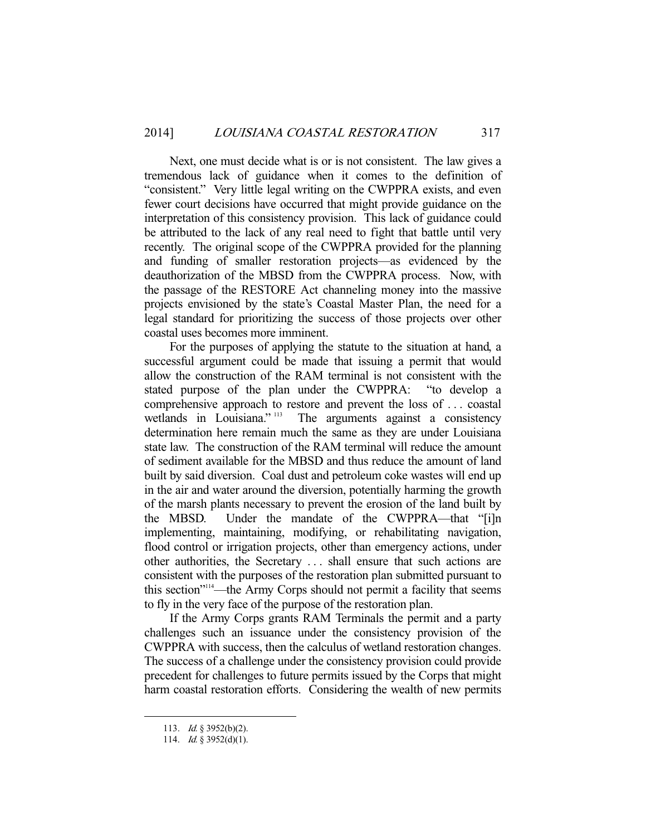Next, one must decide what is or is not consistent. The law gives a tremendous lack of guidance when it comes to the definition of "consistent." Very little legal writing on the CWPPRA exists, and even fewer court decisions have occurred that might provide guidance on the interpretation of this consistency provision. This lack of guidance could be attributed to the lack of any real need to fight that battle until very recently. The original scope of the CWPPRA provided for the planning and funding of smaller restoration projects—as evidenced by the deauthorization of the MBSD from the CWPPRA process. Now, with the passage of the RESTORE Act channeling money into the massive projects envisioned by the state's Coastal Master Plan, the need for a legal standard for prioritizing the success of those projects over other coastal uses becomes more imminent.

 For the purposes of applying the statute to the situation at hand, a successful argument could be made that issuing a permit that would allow the construction of the RAM terminal is not consistent with the stated purpose of the plan under the CWPPRA: "to develop a comprehensive approach to restore and prevent the loss of ... coastal wetlands in Louisiana." The arguments against a consistency The arguments against a consistency determination here remain much the same as they are under Louisiana state law. The construction of the RAM terminal will reduce the amount of sediment available for the MBSD and thus reduce the amount of land built by said diversion. Coal dust and petroleum coke wastes will end up in the air and water around the diversion, potentially harming the growth of the marsh plants necessary to prevent the erosion of the land built by the MBSD. Under the mandate of the CWPPRA—that "[i]n implementing, maintaining, modifying, or rehabilitating navigation, flood control or irrigation projects, other than emergency actions, under other authorities, the Secretary . . . shall ensure that such actions are consistent with the purposes of the restoration plan submitted pursuant to this section"114—the Army Corps should not permit a facility that seems to fly in the very face of the purpose of the restoration plan.

 If the Army Corps grants RAM Terminals the permit and a party challenges such an issuance under the consistency provision of the CWPPRA with success, then the calculus of wetland restoration changes. The success of a challenge under the consistency provision could provide precedent for challenges to future permits issued by the Corps that might harm coastal restoration efforts. Considering the wealth of new permits

 <sup>113.</sup> Id. § 3952(b)(2).

<sup>114.</sup> *Id.* § 3952(d)(1).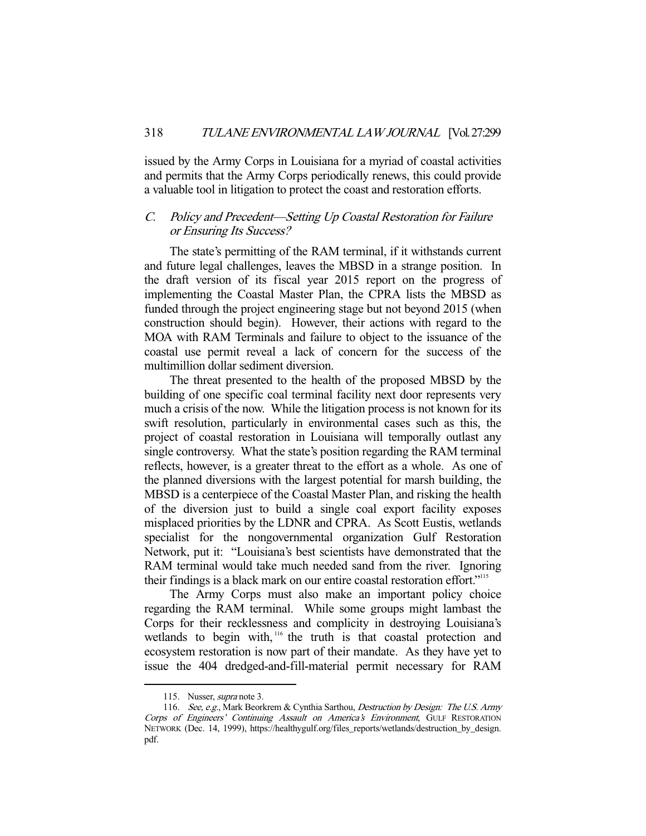issued by the Army Corps in Louisiana for a myriad of coastal activities and permits that the Army Corps periodically renews, this could provide a valuable tool in litigation to protect the coast and restoration efforts.

# C. Policy and Precedent—Setting Up Coastal Restoration for Failure or Ensuring Its Success?

 The state's permitting of the RAM terminal, if it withstands current and future legal challenges, leaves the MBSD in a strange position. In the draft version of its fiscal year 2015 report on the progress of implementing the Coastal Master Plan, the CPRA lists the MBSD as funded through the project engineering stage but not beyond 2015 (when construction should begin). However, their actions with regard to the MOA with RAM Terminals and failure to object to the issuance of the coastal use permit reveal a lack of concern for the success of the multimillion dollar sediment diversion.

 The threat presented to the health of the proposed MBSD by the building of one specific coal terminal facility next door represents very much a crisis of the now. While the litigation process is not known for its swift resolution, particularly in environmental cases such as this, the project of coastal restoration in Louisiana will temporally outlast any single controversy. What the state's position regarding the RAM terminal reflects, however, is a greater threat to the effort as a whole. As one of the planned diversions with the largest potential for marsh building, the MBSD is a centerpiece of the Coastal Master Plan, and risking the health of the diversion just to build a single coal export facility exposes misplaced priorities by the LDNR and CPRA. As Scott Eustis, wetlands specialist for the nongovernmental organization Gulf Restoration Network, put it: "Louisiana's best scientists have demonstrated that the RAM terminal would take much needed sand from the river. Ignoring their findings is a black mark on our entire coastal restoration effort."115

 The Army Corps must also make an important policy choice regarding the RAM terminal. While some groups might lambast the Corps for their recklessness and complicity in destroying Louisiana's wetlands to begin with,<sup>116</sup> the truth is that coastal protection and ecosystem restoration is now part of their mandate. As they have yet to issue the 404 dredged-and-fill-material permit necessary for RAM

<sup>115.</sup> Nusser, *supra* note 3.

<sup>116.</sup> See, e.g., Mark Beorkrem & Cynthia Sarthou, Destruction by Design: The U.S. Army Corps of Engineers' Continuing Assault on America's Environment, GULF RESTORATION NETWORK (Dec. 14, 1999), https://healthygulf.org/files\_reports/wetlands/destruction\_by\_design. pdf.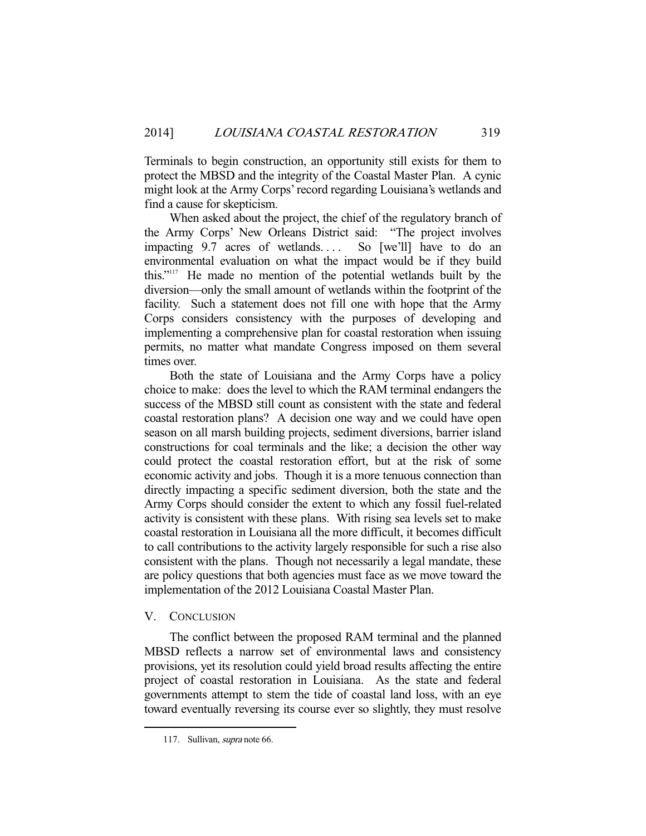Terminals to begin construction, an opportunity still exists for them to protect the MBSD and the integrity of the Coastal Master Plan. A cynic might look at the Army Corps' record regarding Louisiana's wetlands and find a cause for skepticism.

 When asked about the project, the chief of the regulatory branch of the Army Corps' New Orleans District said: "The project involves impacting 9.7 acres of wetlands.... So [we'll] have to do an environmental evaluation on what the impact would be if they build this."117 He made no mention of the potential wetlands built by the diversion—only the small amount of wetlands within the footprint of the facility. Such a statement does not fill one with hope that the Army Corps considers consistency with the purposes of developing and implementing a comprehensive plan for coastal restoration when issuing permits, no matter what mandate Congress imposed on them several times over.

 Both the state of Louisiana and the Army Corps have a policy choice to make: does the level to which the RAM terminal endangers the success of the MBSD still count as consistent with the state and federal coastal restoration plans? A decision one way and we could have open season on all marsh building projects, sediment diversions, barrier island constructions for coal terminals and the like; a decision the other way could protect the coastal restoration effort, but at the risk of some economic activity and jobs. Though it is a more tenuous connection than directly impacting a specific sediment diversion, both the state and the Army Corps should consider the extent to which any fossil fuel-related activity is consistent with these plans. With rising sea levels set to make coastal restoration in Louisiana all the more difficult, it becomes difficult to call contributions to the activity largely responsible for such a rise also consistent with the plans. Though not necessarily a legal mandate, these are policy questions that both agencies must face as we move toward the implementation of the 2012 Louisiana Coastal Master Plan.

# V. CONCLUSION

-

 The conflict between the proposed RAM terminal and the planned MBSD reflects a narrow set of environmental laws and consistency provisions, yet its resolution could yield broad results affecting the entire project of coastal restoration in Louisiana. As the state and federal governments attempt to stem the tide of coastal land loss, with an eye toward eventually reversing its course ever so slightly, they must resolve

 <sup>117.</sup> Sullivan, supra note 66.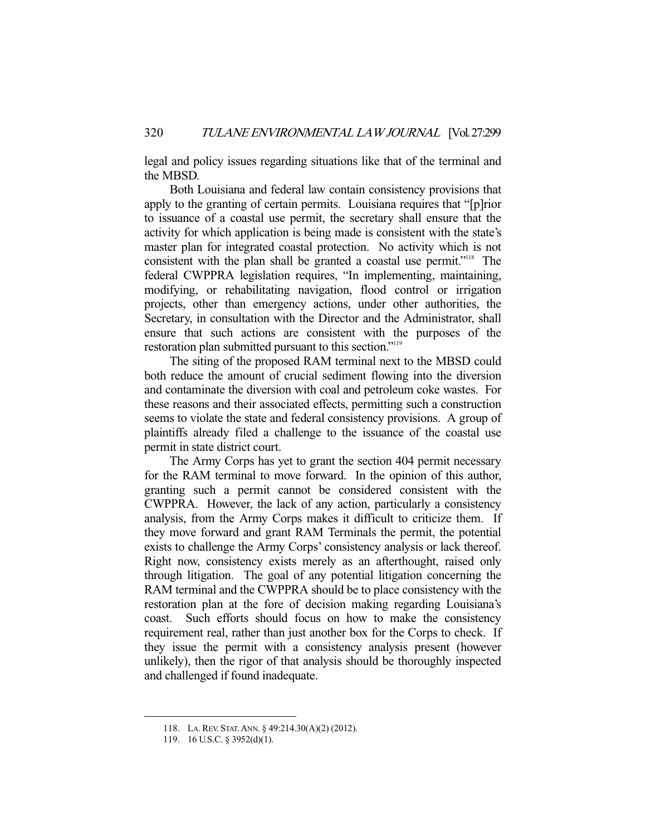legal and policy issues regarding situations like that of the terminal and the MBSD.

 Both Louisiana and federal law contain consistency provisions that apply to the granting of certain permits. Louisiana requires that "[p]rior to issuance of a coastal use permit, the secretary shall ensure that the activity for which application is being made is consistent with the state's master plan for integrated coastal protection. No activity which is not consistent with the plan shall be granted a coastal use permit."<sup>118</sup> The federal CWPPRA legislation requires, "In implementing, maintaining, modifying, or rehabilitating navigation, flood control or irrigation projects, other than emergency actions, under other authorities, the Secretary, in consultation with the Director and the Administrator, shall ensure that such actions are consistent with the purposes of the restoration plan submitted pursuant to this section."119

 The siting of the proposed RAM terminal next to the MBSD could both reduce the amount of crucial sediment flowing into the diversion and contaminate the diversion with coal and petroleum coke wastes. For these reasons and their associated effects, permitting such a construction seems to violate the state and federal consistency provisions. A group of plaintiffs already filed a challenge to the issuance of the coastal use permit in state district court.

 The Army Corps has yet to grant the section 404 permit necessary for the RAM terminal to move forward. In the opinion of this author, granting such a permit cannot be considered consistent with the CWPPRA. However, the lack of any action, particularly a consistency analysis, from the Army Corps makes it difficult to criticize them. If they move forward and grant RAM Terminals the permit, the potential exists to challenge the Army Corps' consistency analysis or lack thereof. Right now, consistency exists merely as an afterthought, raised only through litigation. The goal of any potential litigation concerning the RAM terminal and the CWPPRA should be to place consistency with the restoration plan at the fore of decision making regarding Louisiana's coast. Such efforts should focus on how to make the consistency requirement real, rather than just another box for the Corps to check. If they issue the permit with a consistency analysis present (however unlikely), then the rigor of that analysis should be thoroughly inspected and challenged if found inadequate.

 <sup>118.</sup> LA.REV. STAT.ANN. § 49:214.30(A)(2) (2012).

 <sup>119. 16</sup> U.S.C. § 3952(d)(1).